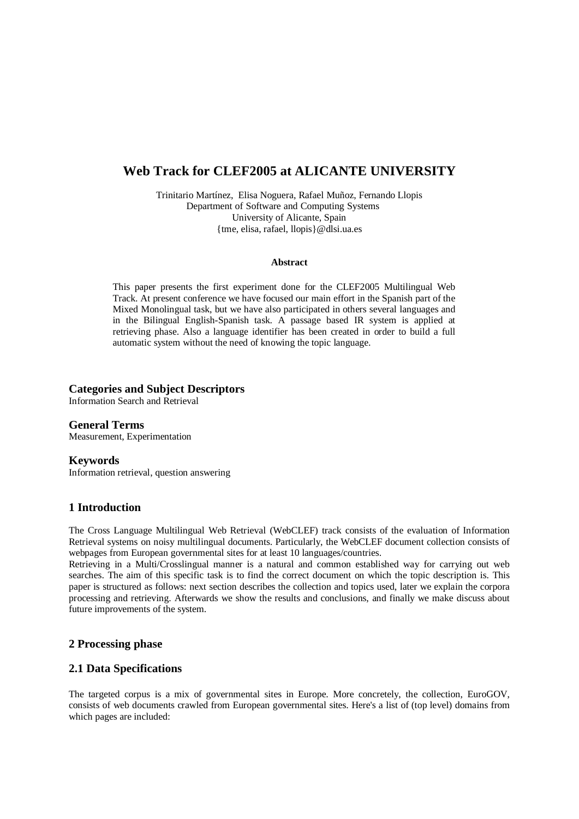# **Web Track for CLEF2005 at ALICANTE UNIVERSITY**

Trinitario Martínez, Elisa Noguera, Rafael Muñoz, Fernando Llopis Department of Software and Computing Systems University of Alicante, Spain {tme, elisa, rafael, llopis}@dlsi.ua.es

#### **Abstract**

This paper presents the first experiment done for the CLEF2005 Multilingual Web Track. At present conference we have focused our main effort in the Spanish part of the Mixed Monolingual task, but we have also participated in others several languages and in the Bilingual English-Spanish task. A passage based IR system is applied at retrieving phase. Also a language identifier has been created in order to build a full automatic system without the need of knowing the topic language.

### **Categories and Subject Descriptors**

Information Search and Retrieval

**General Terms** Measurement, Experimentation

#### **Keywords**

Information retrieval, question answering

# **1 Introduction**

The Cross Language Multilingual Web Retrieval (WebCLEF) track consists of the evaluation of Information Retrieval systems on noisy multilingual documents. Particularly, the WebCLEF document collection consists of webpages from European governmental sites for at least 10 languages/countries.

Retrieving in a Multi/Crosslingual manner is a natural and common established way for carrying out web searches. The aim of this specific task is to find the correct document on which the topic description is. This paper is structured as follows: next section describes the collection and topics used, later we explain the corpora processing and retrieving. Afterwards we show the results and conclusions, and finally we make discuss about future improvements of the system.

# **2 Processing phase**

# **2.1 Data Specifications**

The targeted corpus is a mix of governmental sites in Europe. More concretely, the collection, EuroGOV, consists of web documents crawled from European governmental sites. Here's a list of (top level) domains from which pages are included: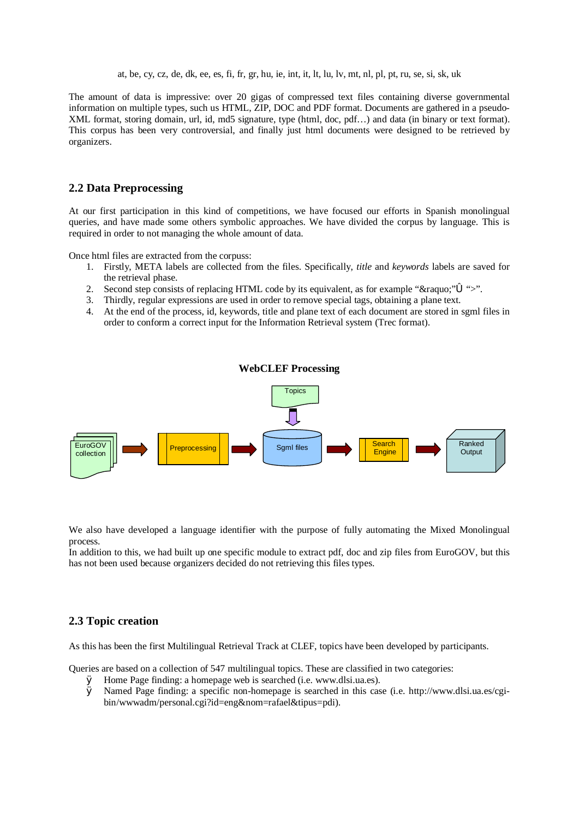at, be, cy, cz, de, dk, ee, es, fi, fr, gr, hu, ie, int, it, lt, lu, lv, mt, nl, pl, pt, ru, se, si, sk, uk

The amount of data is impressive: over 20 gigas of compressed text files containing diverse governmental information on multiple types, such us HTML, ZIP, DOC and PDF format. Documents are gathered in a pseudo-XML format, storing domain, url, id, md5 signature, type (html, doc, pdf…) and data (in binary or text format). This corpus has been very controversial, and finally just html documents were designed to be retrieved by organizers.

# **2.2 Data Preprocessing**

At our first participation in this kind of competitions, we have focused our efforts in Spanish monolingual queries, and have made some others symbolic approaches. We have divided the corpus by language. This is required in order to not managing the whole amount of data.

Once html files are extracted from the corpuss:

- 1. Firstly, META labels are collected from the files. Specifically, *title* and *keywords* labels are saved for the retrieval phase.
- 2. Second step consists of replacing HTML code by its equivalent, as for example " $\&$ raquo;" $\&$  ">".
- 3. Thirdly, regular expressions are used in order to remove special tags, obtaining a plane text.
- 4. At the end of the process, id, keywords, title and plane text of each document are stored in sgml files in order to conform a correct input for the Information Retrieval system (Trec format).



We also have developed a language identifier with the purpose of fully automating the Mixed Monolingual process.

In addition to this, we had built up one specific module to extract pdf, doc and zip files from EuroGOV, but this has not been used because organizers decided do not retrieving this files types.

# **2.3 Topic creation**

As this has been the first Multilingual Retrieval Track at CLEF, topics have been developed by participants.

Queries are based on a collection of 547 multilingual topics. These are classified in two categories:

- Ø Home Page finding: a homepage web is searched (i.e. [www.dlsi.ua.es\).](http://www.dlsi.ua.es).)
- Ø Named Page finding: a specific non-homepage is searched in this case (i.e. [http://www.dlsi.ua.es/cgi](http://www.dlsi.ua.es/cgi-)bin/wwwadm/personal.cgi?id=eng&nom=rafael&tipus=pdi).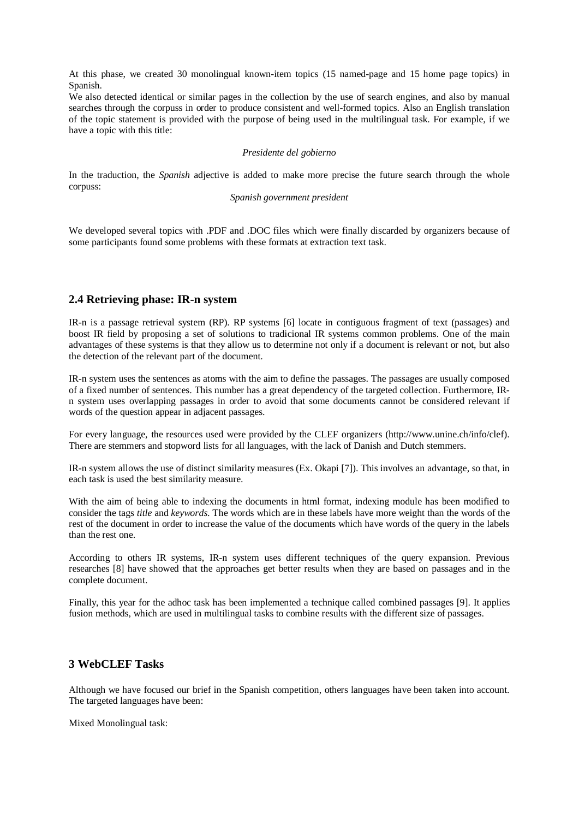At this phase, we created 30 monolingual known-item topics (15 named-page and 15 home page topics) in Spanish.

We also detected identical or similar pages in the collection by the use of search engines, and also by manual searches through the corpuss in order to produce consistent and well-formed topics. Also an English translation of the topic statement is provided with the purpose of being used in the multilingual task. For example, if we have a topic with this title:

#### *Presidente del gobierno*

In the traduction, the *Spanish* adjective is added to make more precise the future search through the whole corpuss:

#### *Spanish government president*

We developed several topics with .PDF and .DOC files which were finally discarded by organizers because of some participants found some problems with these formats at extraction text task.

#### **2.4 Retrieving phase: IR-n system**

IR-n is a passage retrieval system (RP). RP systems [6] locate in contiguous fragment of text (passages) and boost IR field by proposing a set of solutions to tradicional IR systems common problems. One of the main advantages of these systems is that they allow us to determine not only if a document is relevant or not, but also the detection of the relevant part of the document.

IR-n system uses the sentences as atoms with the aim to define the passages. The passages are usually composed of a fixed number of sentences. This number has a great dependency of the targeted collection. Furthermore, IRn system uses overlapping passages in order to avoid that some documents cannot be considered relevant if words of the question appear in adjacent passages.

For every language, the resources used were provided by the CLEF organizers (http://www.unine.ch/info/clef). There are stemmers and stopword lists for all languages, with the lack of Danish and Dutch stemmers.

IR-n system allows the use of distinct similarity measures (Ex. Okapi [7]). This involves an advantage, so that, in each task is used the best similarity measure.

With the aim of being able to indexing the documents in html format, indexing module has been modified to consider the tags *title* and *keywords*. The words which are in these labels have more weight than the words of the rest of the document in order to increase the value of the documents which have words of the query in the labels than the rest one.

According to others IR systems, IR-n system uses different techniques of the query expansion. Previous researches [8] have showed that the approaches get better results when they are based on passages and in the complete document.

Finally, this year for the adhoc task has been implemented a technique called combined passages [9]. It applies fusion methods, which are used in multilingual tasks to combine results with the different size of passages.

### **3 WebCLEF Tasks**

Although we have focused our brief in the Spanish competition, others languages have been taken into account. The targeted languages have been:

Mixed Monolingual task: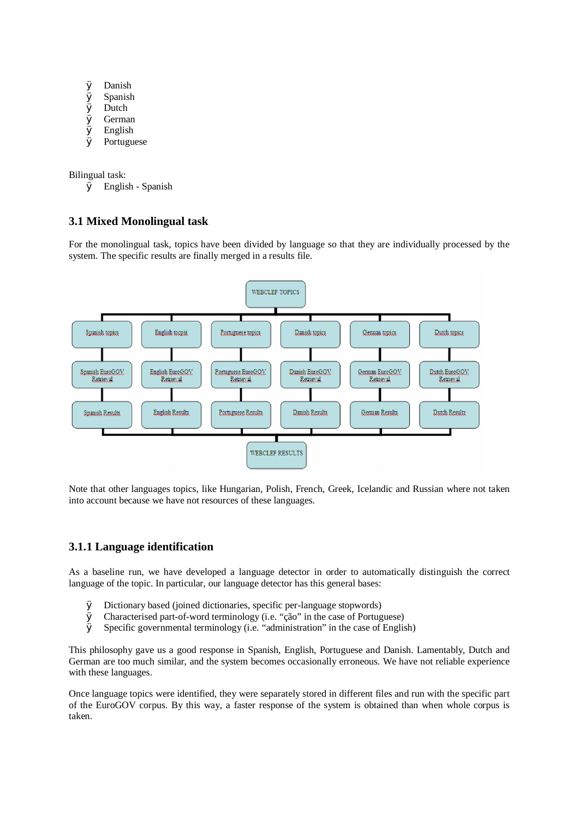- Ø Danish
- Ø Spanish
- Ø Dutch
- Ø German
- Ø English
- Ø Portuguese

Bilingual task:

Ø English - Spanish

# **3.1 Mixed Monolingual task**

For the monolingual task, topics have been divided by language so that they are individually processed by the system. The specific results are finally merged in a results file.



Note that other languages topics, like Hungarian, Polish, French, Greek, Icelandic and Russian where not taken into account because we have not resources of these languages.

# **3.1.1 Language identification**

As a baseline run, we have developed a language detector in order to automatically distinguish the correct language of the topic. In particular, our language detector has this general bases:

- Ø Dictionary based (joined dictionaries, specific per-language stopwords)
- Ø Characterised part-of-word terminology (i.e. "ção" in the case of Portuguese)
- $\varnothing$  Specific governmental terminology (i.e. "administration" in the case of English)

This philosophy gave us a good response in Spanish, English, Portuguese and Danish. Lamentably, Dutch and German are too much similar, and the system becomes occasionally erroneous. We have not reliable experience with these languages.

Once language topics were identified, they were separately stored in different files and run with the specific part of the EuroGOV corpus. By this way, a faster response of the system is obtained than when whole corpus is taken.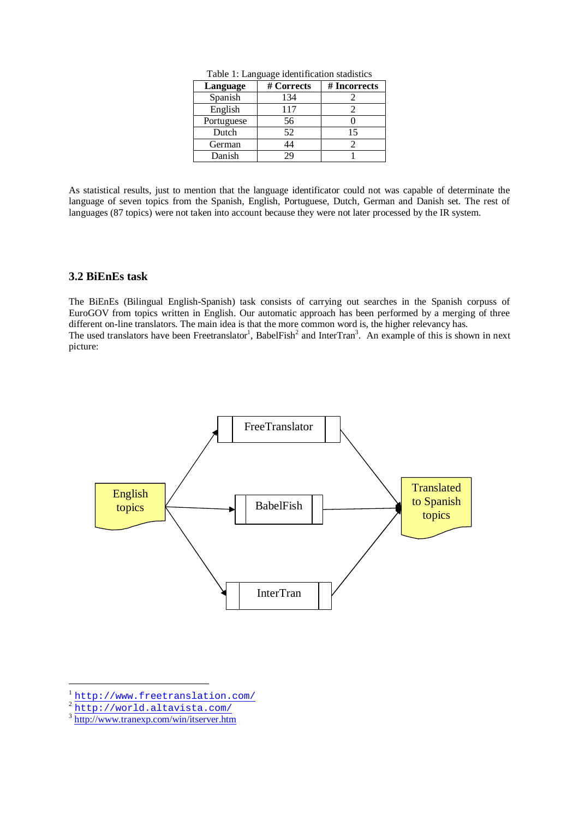| Language   | # Corrects | # Incorrects |
|------------|------------|--------------|
| Spanish    | 134        |              |
| English    | 117        |              |
| Portuguese | 56         |              |
| Dutch      | 52         | 15           |
| German     |            |              |
| Danish     |            |              |

Table 1: Language identification stadistics

As statistical results, just to mention that the language identificator could not was capable of determinate the language of seven topics from the Spanish, English, Portuguese, Dutch, German and Danish set. The rest of languages (87 topics) were not taken into account because they were not later processed by the IR system.

# **3.2 BiEnEs task**

The BiEnEs (Bilingual English-Spanish) task consists of carrying out searches in the Spanish corpuss of EuroGOV from topics written in English. Our automatic approach has been performed by a merging of three different on-line translators. The main idea is that the more common word is, the higher relevancy has. The used translators have been Freetranslator<sup>1</sup>, BabelFish<sup>2</sup> and InterTran<sup>3</sup>. An example of this is shown in next picture:



<sup>&</sup>lt;sup>1</sup><http://www.freetranslation.com/><br><sup>2</sup><http://world.altavista.com/>

<sup>&</sup>lt;sup>3</sup> <http://www.tranexp.com/win/itserver.htm>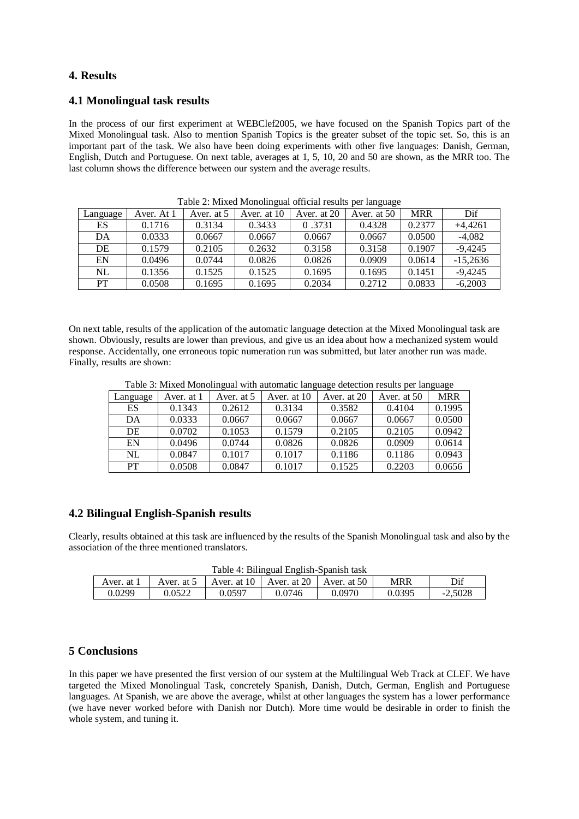# **4. Results**

# **4.1 Monolingual task results**

In the process of our first experiment at WEBClef2005, we have focused on the Spanish Topics part of the Mixed Monolingual task. Also to mention Spanish Topics is the greater subset of the topic set. So, this is an important part of the task. We also have been doing experiments with other five languages: Danish, German, English, Dutch and Portuguese. On next table, averages at 1, 5, 10, 20 and 50 are shown, as the MRR too. The last column shows the difference between our system and the average results.

|          | Aver. At 1 | Aver. at 5 | Aver. at 10 | Aver. at 20 | 00<br>Aver. at 50 | <b>MRR</b> | Dif        |
|----------|------------|------------|-------------|-------------|-------------------|------------|------------|
| Language |            |            |             |             |                   |            |            |
| ES       | 0.1716     | 0.3134     | 0.3433      | 0.3731      | 0.4328            | 0.2377     | $+4.4261$  |
| DA       | 0.0333     | 0.0667     | 0.0667      | 0.0667      | 0.0667            | 0.0500     | $-4,082$   |
| DE       | 0.1579     | 0.2105     | 0.2632      | 0.3158      | 0.3158            | 0.1907     | $-9.4245$  |
| EN       | 0.0496     | 0.0744     | 0.0826      | 0.0826      | 0.0909            | 0.0614     | $-15,2636$ |
| NL       | 0.1356     | 0.1525     | 0.1525      | 0.1695      | 0.1695            | 0.1451     | $-9.4245$  |
| PT       | 0.0508     | 0.1695     | 0.1695      | 0.2034      | 0.2712            | 0.0833     | $-6,2003$  |

Table 2: Mixed Monolingual official results per language

On next table, results of the application of the automatic language detection at the Mixed Monolingual task are shown. Obviously, results are lower than previous, and give us an idea about how a mechanized system would response. Accidentally, one erroneous topic numeration run was submitted, but later another run was made. Finally, results are shown:

| Table 3: Mixed Monolingual with automatic language detection results per language |  |  |
|-----------------------------------------------------------------------------------|--|--|
|                                                                                   |  |  |

| Language  | Aver. at 1 | Aver. at 5 | Aver. at 10 | Aver. at 20 | Aver. at 50 | <b>MRR</b> |
|-----------|------------|------------|-------------|-------------|-------------|------------|
| ES        | 0.1343     | 0.2612     | 0.3134      | 0.3582      | 0.4104      | 0.1995     |
| DA        | 0.0333     | 0.0667     | 0.0667      | 0.0667      | 0.0667      | 0.0500     |
| DE        | 0.0702     | 0.1053     | 0.1579      | 0.2105      | 0.2105      | 0.0942     |
| EN        | 0.0496     | 0.0744     | 0.0826      | 0.0826      | 0.0909      | 0.0614     |
| NL        | 0.0847     | 0.1017     | 0.1017      | 0.1186      | 0.1186      | 0.0943     |
| <b>PT</b> | 0.0508     | 0.0847     | 0.1017      | 0.1525      | 0.2203      | 0.0656     |

#### **4.2 Bilingual English-Spanish results**

Clearly, results obtained at this task are influenced by the results of the Spanish Monolingual task and also by the association of the three mentioned translators.

Table 4: Bilingual English-Spanish task

| racio il pilinguai miglion opalion assa |            |                          |               |             |        |           |
|-----------------------------------------|------------|--------------------------|---------------|-------------|--------|-----------|
| Aver. at i                              | Aver. at 5 | $\sim$ Aver. at 10 $\pm$ | Aver. at $20$ | Aver. at 50 | MRR    | Dif       |
| 0.0299                                  | 0.0522     | 0.0597                   | 0.0746        | 0.0970      | 0.0395 | $-2,5028$ |

### **5 Conclusions**

In this paper we have presented the first version of our system at the Multilingual Web Track at CLEF. We have targeted the Mixed Monolingual Task, concretely Spanish, Danish, Dutch, German, English and Portuguese languages. At Spanish, we are above the average, whilst at other languages the system has a lower performance (we have never worked before with Danish nor Dutch). More time would be desirable in order to finish the whole system, and tuning it.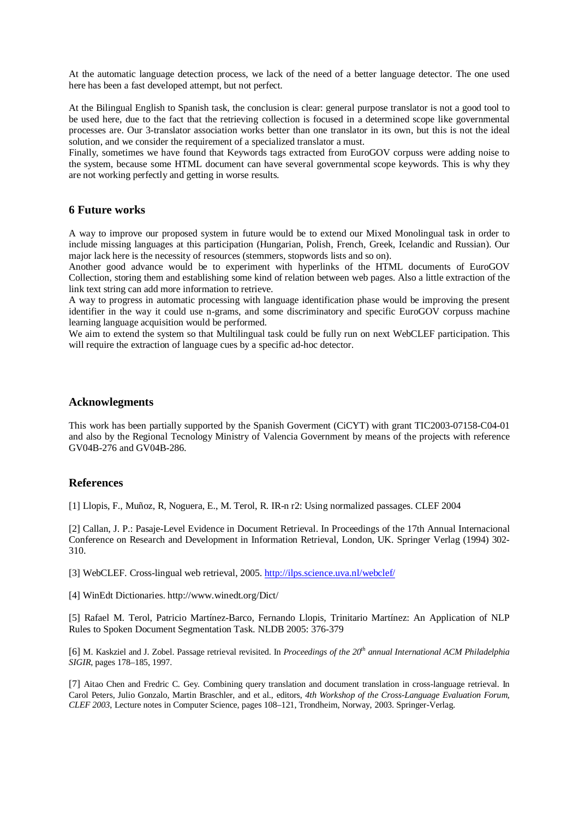At the automatic language detection process, we lack of the need of a better language detector. The one used here has been a fast developed attempt, but not perfect.

At the Bilingual English to Spanish task, the conclusion is clear: general purpose translator is not a good tool to be used here, due to the fact that the retrieving collection is focused in a determined scope like governmental processes are. Our 3-translator association works better than one translator in its own, but this is not the ideal solution, and we consider the requirement of a specialized translator a must.

Finally, sometimes we have found that Keywords tags extracted from EuroGOV corpuss were adding noise to the system, because some HTML document can have several governmental scope keywords. This is why they are not working perfectly and getting in worse results.

### **6 Future works**

A way to improve our proposed system in future would be to extend our Mixed Monolingual task in order to include missing languages at this participation (Hungarian, Polish, French, Greek, Icelandic and Russian). Our major lack here is the necessity of resources (stemmers, stopwords lists and so on).

Another good advance would be to experiment with hyperlinks of the HTML documents of EuroGOV Collection, storing them and establishing some kind of relation between web pages. Also a little extraction of the link text string can add more information to retrieve.

A way to progress in automatic processing with language identification phase would be improving the present identifier in the way it could use n-grams, and some discriminatory and specific EuroGOV corpuss machine learning language acquisition would be performed.

We aim to extend the system so that Multilingual task could be fully run on next WebCLEF participation. This will require the extraction of language cues by a specific ad-hoc detector.

### **Acknowlegments**

This work has been partially supported by the Spanish Goverment (CiCYT) with grant TIC2003-07158-C04-01 and also by the Regional Tecnology Ministry of Valencia Government by means of the projects with reference GV04B-276 and GV04B-286.

# **References**

[1] Llopis, F., Muñoz, R, Noguera, E., M. Terol, R. IR-n r2: Using normalized passages. CLEF 2004

[2] Callan, J. P.: Pasaje-Level Evidence in Document Retrieval. In Proceedings of the 17th Annual Internacional Conference on Research and Development in Information Retrieval, London, UK. Springer Verlag (1994) 302- 310.

[3] WebCLEF. Cross-lingual web retrieval, 2005. <http://ilps.science.uva.nl/webclef/>

[4] WinEdt Dictionaries.<http://www.winedt.org/Dict/>

[5] Rafael M. Terol, Patricio Martínez-Barco, Fernando Llopis, Trinitario Martínez: An Application of NLP Rules to Spoken Document Segmentation Task. NLDB 2005: 376-379

[6] M. Kaskziel and J. Zobel. Passage retrieval revisited. In *Proceedings of the 20th annual International ACM Philadelphia SIGIR*, pages 178–185, 1997.

[7] Aitao Chen and Fredric C. Gey. Combining query translation and document translation in cross-language retrieval. In Carol Peters, Julio Gonzalo, Martin Braschler, and et al., editors, *4th Workshop of the Cross-Language Evaluation Forum, CLEF 2003*, Lecture notes in Computer Science, pages 108–121, Trondheim, Norway, 2003. Springer-Verlag.